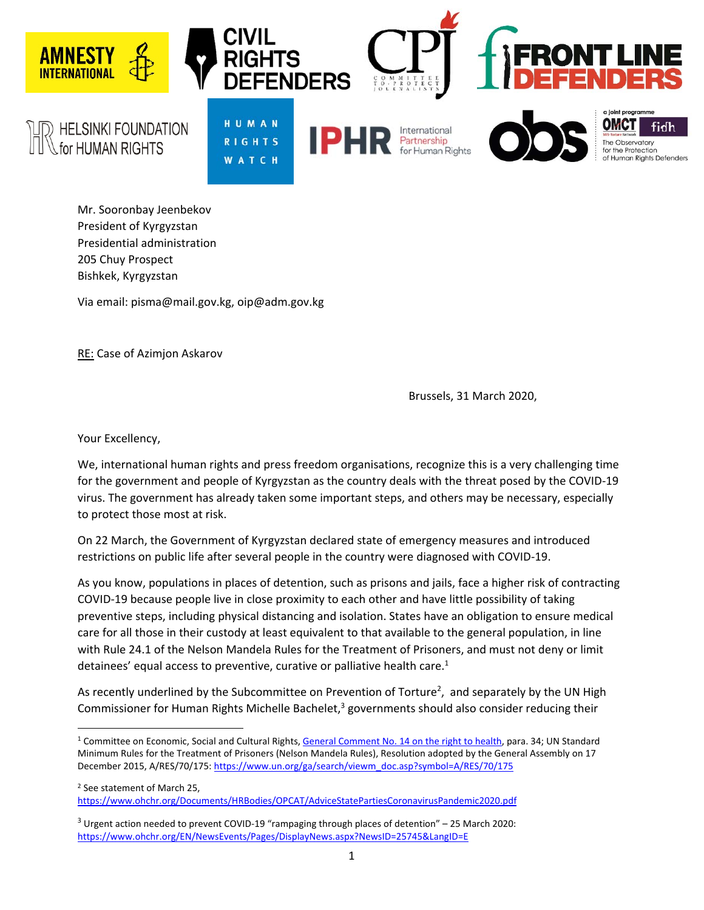

Mr. Sooronbay Jeenbekov President of Kyrgyzstan Presidential administration 205 Chuy Prospect Bishkek, Kyrgyzstan

Via email: pisma@mail.gov.kg, oip@adm.gov.kg

RE: Case of Azimjon Askarov

Brussels, 31 March 2020,

Your Excellency,

We, international human rights and press freedom organisations, recognize this is a very challenging time for the government and people of Kyrgyzstan as the country deals with the threat posed by the COVID‐19 virus. The government has already taken some important steps, and others may be necessary, especially to protect those most at risk.

On 22 March, the Government of Kyrgyzstan declared state of emergency measures and introduced restrictions on public life after several people in the country were diagnosed with COVID‐19.

As you know, populations in places of detention, such as prisons and jails, face a higher risk of contracting COVID‐19 because people live in close proximity to each other and have little possibility of taking preventive steps, including physical distancing and isolation. States have an obligation to ensure medical care for all those in their custody at least equivalent to that available to the general population, in line with Rule 24.1 of the Nelson Mandela Rules for the Treatment of Prisoners, and must not deny or limit detainees' equal access to preventive, curative or palliative health care.<sup>1</sup>

As recently underlined by the Subcommittee on Prevention of Torture<sup>2</sup>, and separately by the UN High Commissioner for Human Rights Michelle Bachelet,<sup>3</sup> governments should also consider reducing their

<sup>&</sup>lt;sup>1</sup> Committee on Economic, Social and Cultural Rights, General Comment No. 14 on the right to health, para. 34; UN Standard Minimum Rules for the Treatment of Prisoners (Nelson Mandela Rules), Resolution adopted by the General Assembly on 17 December 2015, A/RES/70/175: https://www.un.org/ga/search/viewm\_doc.asp?symbol=A/RES/70/175

<sup>2</sup> See statement of March 25, https://www.ohchr.org/Documents/HRBodies/OPCAT/AdviceStatePartiesCoronavirusPandemic2020.pdf

 $3$  Urgent action needed to prevent COVID-19 "rampaging through places of detention" – 25 March 2020: https://www.ohchr.org/EN/NewsEvents/Pages/DisplayNews.aspx?NewsID=25745&LangID=E